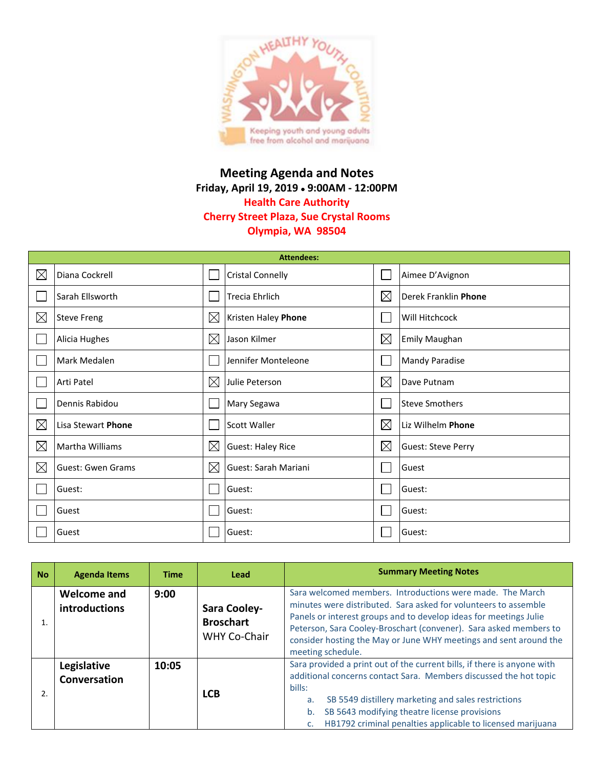

## **Meeting Agenda and Notes Friday, April 19, 2019 9:00AM - 12:00PM Health Care Authority Cherry Street Plaza, Sue Crystal Rooms Olympia, WA 98504**

| <b>Attendees:</b> |                          |             |                            |             |                           |  |  |
|-------------------|--------------------------|-------------|----------------------------|-------------|---------------------------|--|--|
| $\boxtimes$       | Diana Cockrell           |             | <b>Cristal Connelly</b>    |             | Aimee D'Avignon           |  |  |
|                   | Sarah Ellsworth          |             | <b>Trecia Ehrlich</b>      | $\boxtimes$ | Derek Franklin Phone      |  |  |
| $\boxtimes$       | <b>Steve Freng</b>       | $\boxtimes$ | <b>Kristen Haley Phone</b> |             | Will Hitchcock            |  |  |
|                   | Alicia Hughes            | $\boxtimes$ | Jason Kilmer               | $\boxtimes$ | <b>Emily Maughan</b>      |  |  |
|                   | Mark Medalen             |             | Jennifer Monteleone        |             | <b>Mandy Paradise</b>     |  |  |
|                   | Arti Patel               | $\boxtimes$ | Julie Peterson             | $\boxtimes$ | Dave Putnam               |  |  |
|                   | Dennis Rabidou           |             | Mary Segawa                |             | <b>Steve Smothers</b>     |  |  |
| $\boxtimes$       | Lisa Stewart Phone       |             | Scott Waller               | $\boxtimes$ | Liz Wilhelm Phone         |  |  |
| $\boxtimes$       | Martha Williams          | $\boxtimes$ | <b>Guest: Haley Rice</b>   | ⊠           | <b>Guest: Steve Perry</b> |  |  |
| $\boxtimes$       | <b>Guest: Gwen Grams</b> | $\boxtimes$ | Guest: Sarah Mariani       |             | Guest                     |  |  |
|                   | Guest:                   |             | Guest:                     |             | Guest:                    |  |  |
|                   | Guest                    |             | Guest:                     |             | Guest:                    |  |  |
|                   | Guest                    |             | Guest:                     |             | Guest:                    |  |  |

| <b>No</b> | <b>Agenda Items</b>                 | <b>Time</b> | Lead                                                    | <b>Summary Meeting Notes</b>                                                                                                                                                                                                                                                                                                                                     |  |  |
|-----------|-------------------------------------|-------------|---------------------------------------------------------|------------------------------------------------------------------------------------------------------------------------------------------------------------------------------------------------------------------------------------------------------------------------------------------------------------------------------------------------------------------|--|--|
|           | <b>Welcome and</b><br>introductions | 9:00        | Sara Cooley-<br><b>Broschart</b><br><b>WHY Co-Chair</b> | Sara welcomed members. Introductions were made. The March<br>minutes were distributed. Sara asked for volunteers to assemble<br>Panels or interest groups and to develop ideas for meetings Julie<br>Peterson, Sara Cooley-Broschart (convener). Sara asked members to<br>consider hosting the May or June WHY meetings and sent around the<br>meeting schedule. |  |  |
|           | Legislative<br>Conversation         | 10:05       | <b>LCB</b>                                              | Sara provided a print out of the current bills, if there is anyone with<br>additional concerns contact Sara. Members discussed the hot topic<br>bills:<br>SB 5549 distillery marketing and sales restrictions<br>a.<br>SB 5643 modifying theatre license provisions<br>b.<br>HB1792 criminal penalties applicable to licensed marijuana<br>c.                    |  |  |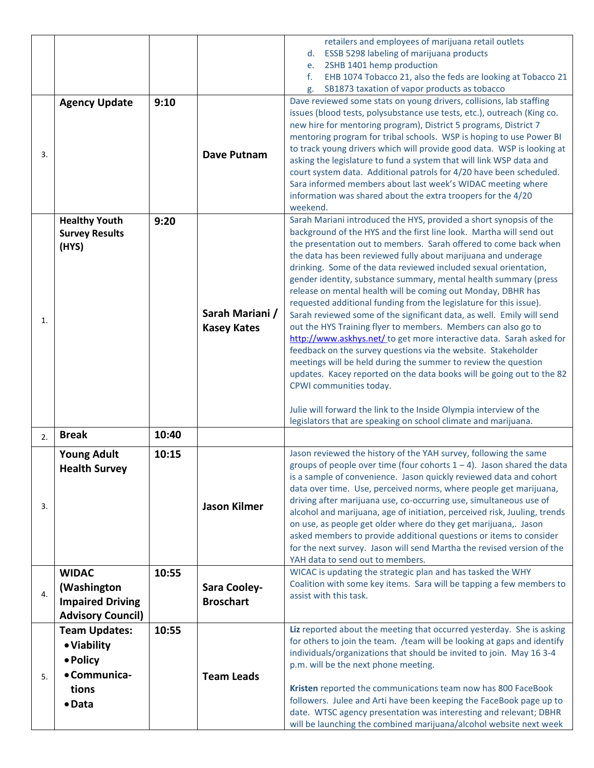|    |                                                        |       |                                       | retailers and employees of marijuana retail outlets                                                                                                                                                                                                                                                                                                                                                                                                                                                                                                                                                                                                                                                                                                                                                                                                                                                                                                                                                                                                                                         |
|----|--------------------------------------------------------|-------|---------------------------------------|---------------------------------------------------------------------------------------------------------------------------------------------------------------------------------------------------------------------------------------------------------------------------------------------------------------------------------------------------------------------------------------------------------------------------------------------------------------------------------------------------------------------------------------------------------------------------------------------------------------------------------------------------------------------------------------------------------------------------------------------------------------------------------------------------------------------------------------------------------------------------------------------------------------------------------------------------------------------------------------------------------------------------------------------------------------------------------------------|
|    |                                                        |       |                                       | <b>ESSB 5298 labeling of marijuana products</b><br>d.                                                                                                                                                                                                                                                                                                                                                                                                                                                                                                                                                                                                                                                                                                                                                                                                                                                                                                                                                                                                                                       |
|    |                                                        |       |                                       | 2SHB 1401 hemp production<br>e.                                                                                                                                                                                                                                                                                                                                                                                                                                                                                                                                                                                                                                                                                                                                                                                                                                                                                                                                                                                                                                                             |
|    |                                                        |       |                                       | EHB 1074 Tobacco 21, also the feds are looking at Tobacco 21<br>f.                                                                                                                                                                                                                                                                                                                                                                                                                                                                                                                                                                                                                                                                                                                                                                                                                                                                                                                                                                                                                          |
| 3. | <b>Agency Update</b>                                   | 9:10  | <b>Dave Putnam</b>                    | SB1873 taxation of vapor products as tobacco<br>g.<br>Dave reviewed some stats on young drivers, collisions, lab staffing<br>issues (blood tests, polysubstance use tests, etc.), outreach (King co.<br>new hire for mentoring program), District 5 programs, District 7<br>mentoring program for tribal schools. WSP is hoping to use Power BI<br>to track young drivers which will provide good data. WSP is looking at<br>asking the legislature to fund a system that will link WSP data and<br>court system data. Additional patrols for 4/20 have been scheduled.                                                                                                                                                                                                                                                                                                                                                                                                                                                                                                                     |
|    |                                                        |       |                                       | Sara informed members about last week's WIDAC meeting where<br>information was shared about the extra troopers for the 4/20<br>weekend.                                                                                                                                                                                                                                                                                                                                                                                                                                                                                                                                                                                                                                                                                                                                                                                                                                                                                                                                                     |
| 1. | <b>Healthy Youth</b><br><b>Survey Results</b><br>(HYS) | 9:20  | Sarah Mariani /<br><b>Kasey Kates</b> | Sarah Mariani introduced the HYS, provided a short synopsis of the<br>background of the HYS and the first line look. Martha will send out<br>the presentation out to members. Sarah offered to come back when<br>the data has been reviewed fully about marijuana and underage<br>drinking. Some of the data reviewed included sexual orientation,<br>gender identity, substance summary, mental health summary (press<br>release on mental health will be coming out Monday, DBHR has<br>requested additional funding from the legislature for this issue).<br>Sarah reviewed some of the significant data, as well. Emily will send<br>out the HYS Training flyer to members. Members can also go to<br>http://www.askhys.net/ to get more interactive data. Sarah asked for<br>feedback on the survey questions via the website. Stakeholder<br>meetings will be held during the summer to review the question<br>updates. Kacey reported on the data books will be going out to the 82<br>CPWI communities today.<br>Julie will forward the link to the Inside Olympia interview of the |
|    |                                                        |       |                                       | legislators that are speaking on school climate and marijuana.                                                                                                                                                                                                                                                                                                                                                                                                                                                                                                                                                                                                                                                                                                                                                                                                                                                                                                                                                                                                                              |
| 2. | <b>Break</b>                                           | 10:40 |                                       |                                                                                                                                                                                                                                                                                                                                                                                                                                                                                                                                                                                                                                                                                                                                                                                                                                                                                                                                                                                                                                                                                             |
| 3. | <b>Young Adult</b><br><b>Health Survey</b>             | 10:15 | <b>Jason Kilmer</b>                   | Jason reviewed the history of the YAH survey, following the same<br>groups of people over time (four cohorts $1 - 4$ ). Jason shared the data<br>is a sample of convenience. Jason quickly reviewed data and cohort<br>data over time. Use, perceived norms, where people get marijuana,<br>driving after marijuana use, co-occurring use, simultaneous use of<br>alcohol and marijuana, age of initiation, perceived risk, Juuling, trends<br>on use, as people get older where do they get marijuana,. Jason<br>asked members to provide additional questions or items to consider<br>for the next survey. Jason will send Martha the revised version of the<br>YAH data to send out to members.                                                                                                                                                                                                                                                                                                                                                                                          |
|    | <b>WIDAC</b>                                           | 10:55 |                                       | WICAC is updating the strategic plan and has tasked the WHY                                                                                                                                                                                                                                                                                                                                                                                                                                                                                                                                                                                                                                                                                                                                                                                                                                                                                                                                                                                                                                 |
|    | (Washington                                            |       | Sara Cooley-                          | Coalition with some key items. Sara will be tapping a few members to                                                                                                                                                                                                                                                                                                                                                                                                                                                                                                                                                                                                                                                                                                                                                                                                                                                                                                                                                                                                                        |
| 4. | <b>Impaired Driving</b>                                |       | <b>Broschart</b>                      | assist with this task.                                                                                                                                                                                                                                                                                                                                                                                                                                                                                                                                                                                                                                                                                                                                                                                                                                                                                                                                                                                                                                                                      |
|    | <b>Advisory Council)</b>                               |       |                                       |                                                                                                                                                                                                                                                                                                                                                                                                                                                                                                                                                                                                                                                                                                                                                                                                                                                                                                                                                                                                                                                                                             |
|    | <b>Team Updates:</b><br>• Viability<br>• Policy        | 10:55 |                                       | Liz reported about the meeting that occurred yesterday. She is asking<br>for others to join the team. /team will be looking at gaps and identify<br>individuals/organizations that should be invited to join. May 16 3-4<br>p.m. will be the next phone meeting.                                                                                                                                                                                                                                                                                                                                                                                                                                                                                                                                                                                                                                                                                                                                                                                                                            |
| 5. | • Communica-<br>tions<br>• Data                        |       | <b>Team Leads</b>                     | Kristen reported the communications team now has 800 FaceBook<br>followers. Julee and Arti have been keeping the FaceBook page up to<br>date. WTSC agency presentation was interesting and relevant; DBHR<br>will be launching the combined marijuana/alcohol website next week                                                                                                                                                                                                                                                                                                                                                                                                                                                                                                                                                                                                                                                                                                                                                                                                             |